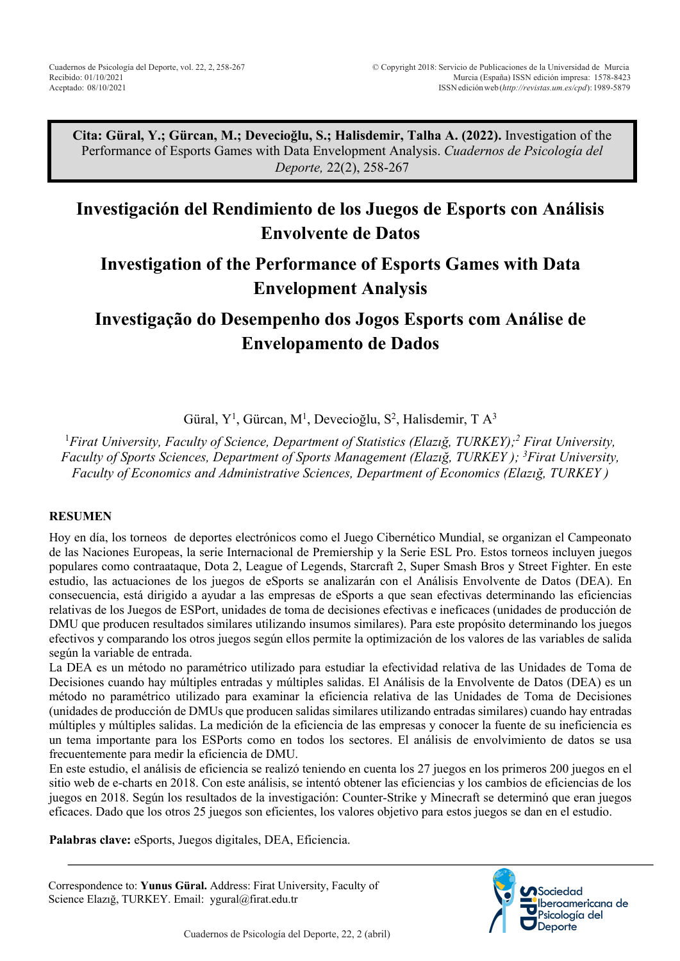**Cita: Güral, Y.; Gürcan, M.; Devecioğlu, S.; Halisdemir, Talha A. (2022).** Investigation of the Performance of Esports Games with Data Envelopment Analysis. *Cuadernos de Psicología del Deporte,* 22(2), 258-267

# **Investigación del Rendimiento de los Juegos de Esports con Análisis Envolvente de Datos**

# **Investigation of the Performance of Esports Games with Data Envelopment Analysis**

**Investigação do Desempenho dos Jogos Esports com Análise de Envelopamento de Dados**

Güral, Y<sup>1</sup>, Gürcan, M<sup>1</sup>, Devecioğlu, S<sup>2</sup>, Halisdemir, T A<sup>3</sup>

1 *Firat University, Faculty of Science, Department of Statistics (Elazığ, TURKEY); <sup>2</sup> Firat University, Faculty of Sports Sciences, Department of Sports Management (Elazığ, TURKEY ); 3 Firat University, Faculty of Economics and Administrative Sciences, Department of Economics (Elazığ, TURKEY )*

# **RESUMEN**

Hoy en día, los torneos de deportes electrónicos como el Juego Cibernético Mundial, se organizan el Campeonato de las Naciones Europeas, la serie Internacional de Premiership y la Serie ESL Pro. Estos torneos incluyen juegos populares como contraataque, Dota 2, League of Legends, Starcraft 2, Super Smash Bros y Street Fighter. En este estudio, las actuaciones de los juegos de eSports se analizarán con el Análisis Envolvente de Datos (DEA). En consecuencia, está dirigido a ayudar a las empresas de eSports a que sean efectivas determinando las eficiencias relativas de los Juegos de ESPort, unidades de toma de decisiones efectivas e ineficaces (unidades de producción de DMU que producen resultados similares utilizando insumos similares). Para este propósito determinando los juegos efectivos y comparando los otros juegos según ellos permite la optimización de los valores de las variables de salida según la variable de entrada.

La DEA es un método no paramétrico utilizado para estudiar la efectividad relativa de las Unidades de Toma de Decisiones cuando hay múltiples entradas y múltiples salidas. El Análisis de la Envolvente de Datos (DEA) es un método no paramétrico utilizado para examinar la eficiencia relativa de las Unidades de Toma de Decisiones (unidades de producción de DMUs que producen salidas similares utilizando entradas similares) cuando hay entradas múltiples y múltiples salidas. La medición de la eficiencia de las empresas y conocer la fuente de su ineficiencia es un tema importante para los ESPorts como en todos los sectores. El análisis de envolvimiento de datos se usa frecuentemente para medir la eficiencia de DMU.

En este estudio, el análisis de eficiencia se realizó teniendo en cuenta los 27 juegos en los primeros 200 juegos en el sitio web de e-charts en 2018. Con este análisis, se intentó obtener las eficiencias y los cambios de eficiencias de los juegos en 2018. Según los resultados de la investigación: Counter-Strike y Minecraft se determinó que eran juegos eficaces. Dado que los otros 25 juegos son eficientes, los valores objetivo para estos juegos se dan en el estudio.

**Palabras clave:** eSports, Juegos digitales, DEA, Eficiencia.

Correspondence to: **Yunus Güral.** Address: Firat University, Faculty of Science Elazığ, TURKEY. Email: ygural@firat.edu.tr

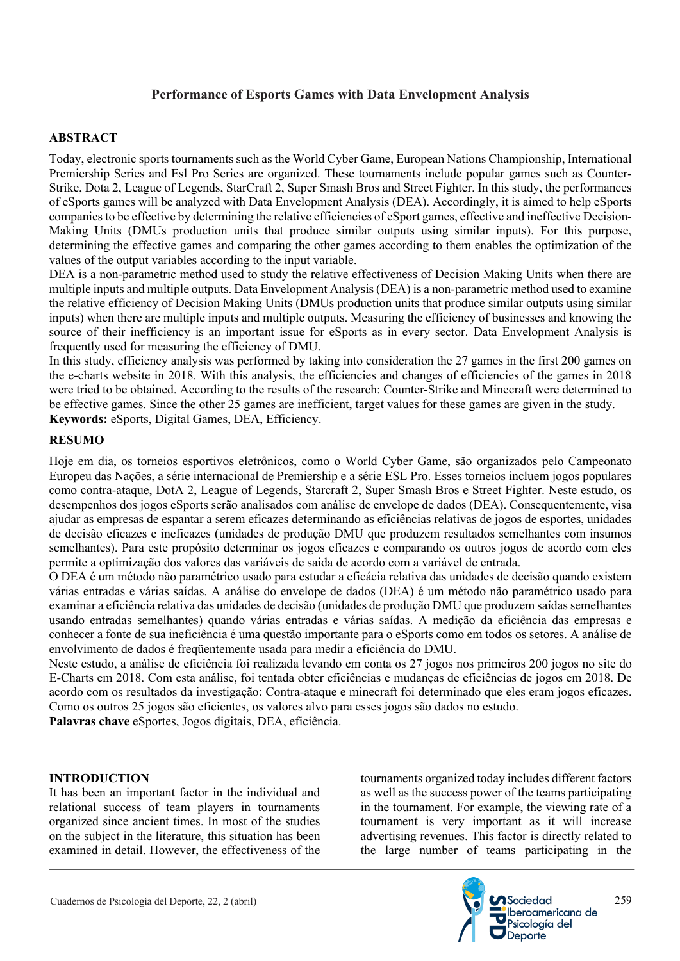## **ABSTRACT**

Today, electronic sports tournaments such as the World Cyber Game, European Nations Championship, International Premiership Series and Esl Pro Series are organized. These tournaments include popular games such as Counter-Strike, Dota 2, League of Legends, StarCraft 2, Super Smash Bros and Street Fighter. In this study, the performances of eSports games will be analyzed with Data Envelopment Analysis (DEA). Accordingly, it is aimed to help eSports companies to be effective by determining the relative efficiencies of eSport games, effective and ineffective Decision-Making Units (DMUs production units that produce similar outputs using similar inputs). For this purpose, determining the effective games and comparing the other games according to them enables the optimization of the values of the output variables according to the input variable.

DEA is a non-parametric method used to study the relative effectiveness of Decision Making Units when there are multiple inputs and multiple outputs. Data Envelopment Analysis (DEA) is a non-parametric method used to examine the relative efficiency of Decision Making Units (DMUs production units that produce similar outputs using similar inputs) when there are multiple inputs and multiple outputs. Measuring the efficiency of businesses and knowing the source of their inefficiency is an important issue for eSports as in every sector. Data Envelopment Analysis is frequently used for measuring the efficiency of DMU.

In this study, efficiency analysis was performed by taking into consideration the 27 games in the first 200 games on the e-charts website in 2018. With this analysis, the efficiencies and changes of efficiencies of the games in 2018 were tried to be obtained. According to the results of the research: Counter-Strike and Minecraft were determined to be effective games. Since the other 25 games are inefficient, target values for these games are given in the study. **Keywords:** eSports, Digital Games, DEA, Efficiency.

## **RESUMO**

Hoje em dia, os torneios esportivos eletrônicos, como o World Cyber Game, são organizados pelo Campeonato Europeu das Nações, a série internacional de Premiership e a série ESL Pro. Esses torneios incluem jogos populares como contra-ataque, DotA 2, League of Legends, Starcraft 2, Super Smash Bros e Street Fighter. Neste estudo, os desempenhos dos jogos eSports serão analisados com análise de envelope de dados (DEA). Consequentemente, visa ajudar as empresas de espantar a serem eficazes determinando as eficiências relativas de jogos de esportes, unidades de decisão eficazes e ineficazes (unidades de produção DMU que produzem resultados semelhantes com insumos semelhantes). Para este propósito determinar os jogos eficazes e comparando os outros jogos de acordo com eles permite a optimização dos valores das variáveis de saida de acordo com a variável de entrada.

O DEA é um método não paramétrico usado para estudar a eficácia relativa das unidades de decisão quando existem várias entradas e várias saídas. A análise do envelope de dados (DEA) é um método não paramétrico usado para examinar a eficiência relativa das unidades de decisão (unidades de produção DMU que produzem saídas semelhantes usando entradas semelhantes) quando várias entradas e várias saídas. A medição da eficiência das empresas e conhecer a fonte de sua ineficiência é uma questão importante para o eSports como em todos os setores. A análise de envolvimento de dados é freqüentemente usada para medir a eficiência do DMU.

Neste estudo, a análise de eficiência foi realizada levando em conta os 27 jogos nos primeiros 200 jogos no site do E-Charts em 2018. Com esta análise, foi tentada obter eficiências e mudanças de eficiências de jogos em 2018. De acordo com os resultados da investigação: Contra-ataque e minecraft foi determinado que eles eram jogos eficazes. Como os outros 25 jogos são eficientes, os valores alvo para esses jogos são dados no estudo.

**Palavras chave** eSportes, Jogos digitais, DEA, eficiência.

## **INTRODUCTION**

It has been an important factor in the individual and relational success of team players in tournaments organized since ancient times. In most of the studies on the subject in the literature, this situation has been examined in detail. However, the effectiveness of the tournaments organized today includes different factors as well as the success power of the teams participating in the tournament. For example, the viewing rate of a tournament is very important as it will increase advertising revenues. This factor is directly related to the large number of teams participating in the

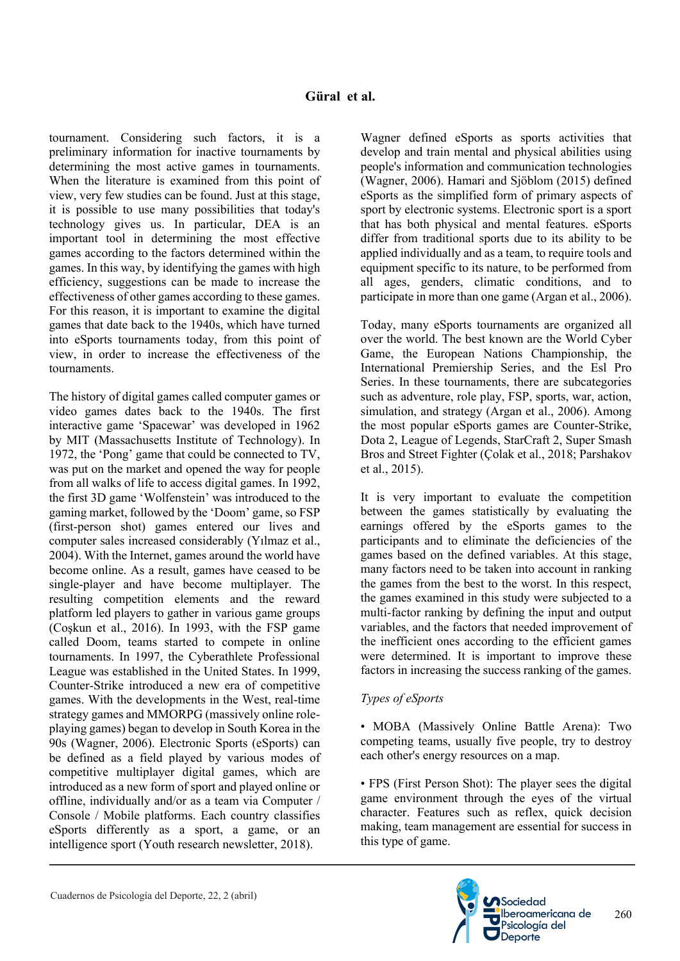tournament. Considering such factors, it is a preliminary information for inactive tournaments by determining the most active games in tournaments. When the literature is examined from this point of view, very few studies can be found. Just at this stage, it is possible to use many possibilities that today's technology gives us. In particular, DEA is an important tool in determining the most effective games according to the factors determined within the games. In this way, by identifying the games with high efficiency, suggestions can be made to increase the effectiveness of other games according to these games. For this reason, it is important to examine the digital games that date back to the 1940s, which have turned into eSports tournaments today, from this point of view, in order to increase the effectiveness of the tournaments.

The history of digital games called computer games or video games dates back to the 1940s. The first interactive game 'Spacewar' was developed in 1962 by MIT (Massachusetts Institute of Technology). In 1972, the 'Pong' game that could be connected to TV, was put on the market and opened the way for people from all walks of life to access digital games. In 1992, the first 3D game 'Wolfenstein' was introduced to the gaming market, followed by the 'Doom' game, so FSP (first-person shot) games entered our lives and computer sales increased considerably (Yılmaz et al., 2004). With the Internet, games around the world have become online. As a result, games have ceased to be single-player and have become multiplayer. The resulting competition elements and the reward platform led players to gather in various game groups (Coşkun et al., 2016). In 1993, with the FSP game called Doom, teams started to compete in online tournaments. In 1997, the Cyberathlete Professional League was established in the United States. In 1999, Counter-Strike introduced a new era of competitive games. With the developments in the West, real-time strategy games and MMORPG (massively online roleplaying games) began to develop in South Korea in the 90s (Wagner, 2006). Electronic Sports (eSports) can be defined as a field played by various modes of competitive multiplayer digital games, which are introduced as a new form of sport and played online or offline, individually and/or as a team via Computer / Console / Mobile platforms. Each country classifies eSports differently as a sport, a game, or an intelligence sport (Youth research newsletter, 2018).

Wagner defined eSports as sports activities that develop and train mental and physical abilities using people's information and communication technologies (Wagner, 2006). Hamari and Sjöblom (2015) defined eSports as the simplified form of primary aspects of sport by electronic systems. Electronic sport is a sport that has both physical and mental features. eSports differ from traditional sports due to its ability to be applied individually and as a team, to require tools and equipment specific to its nature, to be performed from all ages, genders, climatic conditions, and to participate in more than one game (Argan et al., 2006).

Today, many eSports tournaments are organized all over the world. The best known are the World Cyber Game, the European Nations Championship, the International Premiership Series, and the Esl Pro Series. In these tournaments, there are subcategories such as adventure, role play, FSP, sports, war, action, simulation, and strategy (Argan et al., 2006). Among the most popular eSports games are Counter-Strike, Dota 2, League of Legends, StarCraft 2, Super Smash Bros and Street Fighter (Çolak et al., 2018; Parshakov et al., 2015).

It is very important to evaluate the competition between the games statistically by evaluating the earnings offered by the eSports games to the participants and to eliminate the deficiencies of the games based on the defined variables. At this stage, many factors need to be taken into account in ranking the games from the best to the worst. In this respect, the games examined in this study were subjected to a multi-factor ranking by defining the input and output variables, and the factors that needed improvement of the inefficient ones according to the efficient games were determined. It is important to improve these factors in increasing the success ranking of the games.

# *Types of eSports*

• MOBA (Massively Online Battle Arena): Two competing teams, usually five people, try to destroy each other's energy resources on a map.

• FPS (First Person Shot): The player sees the digital game environment through the eyes of the virtual character. Features such as reflex, quick decision making, team management are essential for success in this type of game.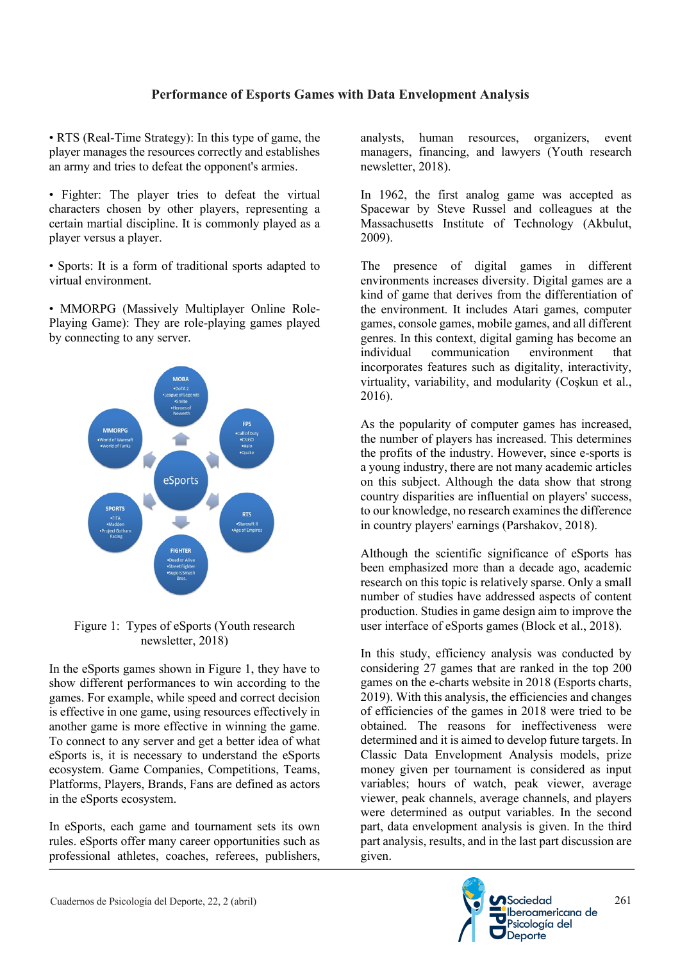• RTS (Real-Time Strategy): In this type of game, the player manages the resources correctly and establishes an army and tries to defeat the opponent's armies.

• Fighter: The player tries to defeat the virtual characters chosen by other players, representing a certain martial discipline. It is commonly played as a player versus a player.

• Sports: It is a form of traditional sports adapted to virtual environment.

• MMORPG (Massively Multiplayer Online Role-Playing Game): They are role-playing games played by connecting to any server.



## Figure 1: Types of eSports (Youth research newsletter, 2018)

In the eSports games shown in Figure 1, they have to show different performances to win according to the games. For example, while speed and correct decision is effective in one game, using resources effectively in another game is more effective in winning the game. To connect to any server and get a better idea of what eSports is, it is necessary to understand the eSports ecosystem. Game Companies, Competitions, Teams, Platforms, Players, Brands, Fans are defined as actors in the eSports ecosystem.

In eSports, each game and tournament sets its own rules. eSports offer many career opportunities such as professional athletes, coaches, referees, publishers, analysts, human resources, organizers, event managers, financing, and lawyers (Youth research newsletter, 2018).

In 1962, the first analog game was accepted as Spacewar by Steve Russel and colleagues at the Massachusetts Institute of Technology (Akbulut, 2009).

The presence of digital games in different environments increases diversity. Digital games are a kind of game that derives from the differentiation of the environment. It includes Atari games, computer games, console games, mobile games, and all different genres. In this context, digital gaming has become an individual communication environment that incorporates features such as digitality, interactivity, virtuality, variability, and modularity (Coşkun et al., 2016).

As the popularity of computer games has increased, the number of players has increased. This determines the profits of the industry. However, since e-sports is a young industry, there are not many academic articles on this subject. Although the data show that strong country disparities are influential on players' success, to our knowledge, no research examines the difference in country players' earnings (Parshakov, 2018).

Although the scientific significance of eSports has been emphasized more than a decade ago, academic research on this topic is relatively sparse. Only a small number of studies have addressed aspects of content production. Studies in game design aim to improve the user interface of eSports games (Block et al., 2018).

In this study, efficiency analysis was conducted by considering 27 games that are ranked in the top 200 games on the e-charts website in 2018 (Esports charts, 2019). With this analysis, the efficiencies and changes of efficiencies of the games in 2018 were tried to be obtained. The reasons for ineffectiveness were determined and it is aimed to develop future targets. In Classic Data Envelopment Analysis models, prize money given per tournament is considered as input variables; hours of watch, peak viewer, average viewer, peak channels, average channels, and players were determined as output variables. In the second part, data envelopment analysis is given. In the third part analysis, results, and in the last part discussion are given.

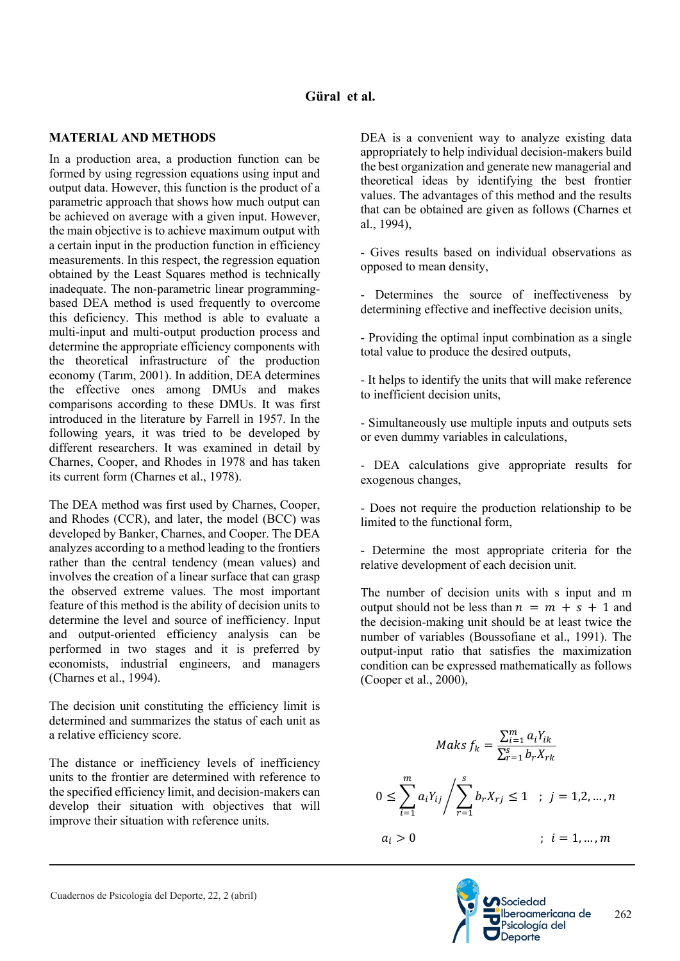# **Güral et al.**

## **MATERIAL AND METHODS**

In a production area, a production function can be formed by using regression equations using input and output data. However, this function is the product of a parametric approach that shows how much output can be achieved on average with a given input. However, the main objective is to achieve maximum output with a certain input in the production function in efficiency measurements. In this respect, the regression equation obtained by the Least Squares method is technically inadequate. The non-parametric linear programmingbased DEA method is used frequently to overcome this deficiency. This method is able to evaluate a multi-input and multi-output production process and determine the appropriate efficiency components with the theoretical infrastructure of the production economy (Tarım, 2001). In addition, DEA determines the effective ones among DMUs and makes comparisons according to these DMUs. It was first introduced in the literature by Farrell in 1957. In the following years, it was tried to be developed by different researchers. It was examined in detail by Charnes, Cooper, and Rhodes in 1978 and has taken its current form (Charnes et al., 1978).

The DEA method was first used by Charnes, Cooper, and Rhodes (CCR), and later, the model (BCC) was developed by Banker, Charnes, and Cooper. The DEA analyzes according to a method leading to the frontiers rather than the central tendency (mean values) and involves the creation of a linear surface that can grasp the observed extreme values. The most important feature of this method is the ability of decision units to determine the level and source of inefficiency. Input and output-oriented efficiency analysis can be performed in two stages and it is preferred by economists, industrial engineers, and managers (Charnes et al., 1994).

The decision unit constituting the efficiency limit is determined and summarizes the status of each unit as a relative efficiency score.

The distance or inefficiency levels of inefficiency units to the frontier are determined with reference to the specified efficiency limit, and decision-makers can develop their situation with objectives that will improve their situation with reference units.

DEA is a convenient way to analyze existing data appropriately to help individual decision-makers build the best organization and generate new managerial and theoretical ideas by identifying the best frontier values. The advantages of this method and the results that can be obtained are given as follows (Charnes et al., 1994),

- Gives results based on individual observations as opposed to mean density,

- Determines the source of ineffectiveness by determining effective and ineffective decision units,

- Providing the optimal input combination as a single total value to produce the desired outputs,

- It helps to identify the units that will make reference to inefficient decision units,

- Simultaneously use multiple inputs and outputs sets or even dummy variables in calculations,

- DEA calculations give appropriate results for exogenous changes,

- Does not require the production relationship to be limited to the functional form,

- Determine the most appropriate criteria for the relative development of each decision unit.

The number of decision units with s input and m output should not be less than  $n = m + s + 1$  and the decision-making unit should be at least twice the number of variables (Boussofiane et al., 1991). The output-input ratio that satisfies the maximization condition can be expressed mathematically as follows (Cooper et al., 2000),

$$
Maks f_k = \frac{\sum_{i=1}^{m} a_i Y_{ik}}{\sum_{r=1}^{s} b_r X_{rk}}
$$
  

$$
0 \le \sum_{i=1}^{m} a_i Y_{ij} / \sum_{r=1}^{s} b_r X_{rj} \le 1 \quad ; \quad j = 1, 2, ..., n
$$
  

$$
a_i > 0 \qquad ; \quad i = 1, ..., m
$$

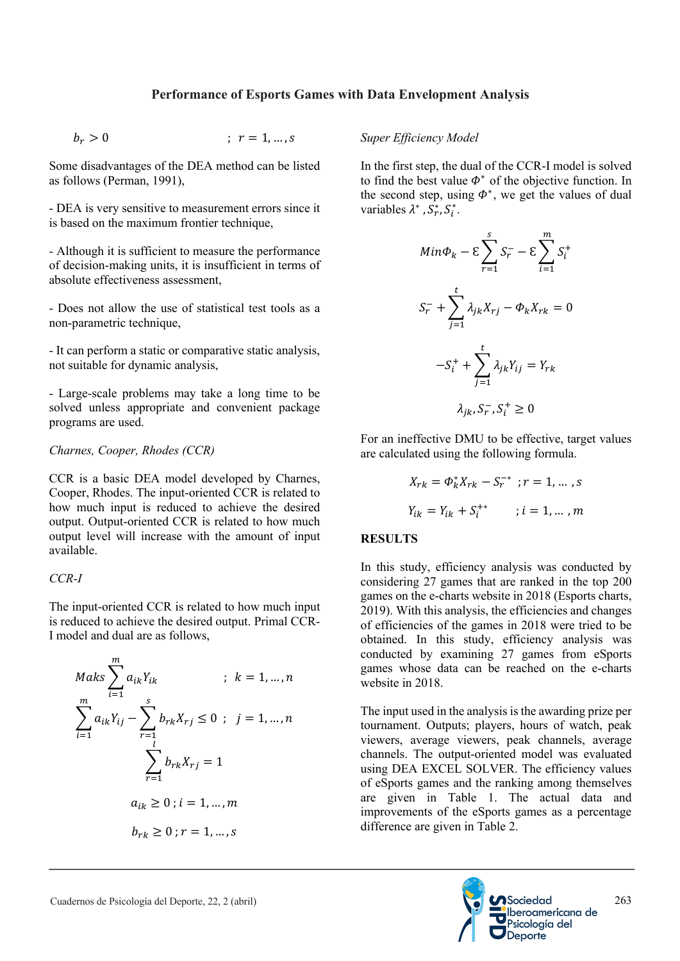$$
b_r > 0 \qquad ; \quad r = 1, \ldots, s
$$

Some disadvantages of the DEA method can be listed as follows (Perman, 1991),

- DEA is very sensitive to measurement errors since it is based on the maximum frontier technique,

- Although it is sufficient to measure the performance of decision-making units, it is insufficient in terms of absolute effectiveness assessment,

- Does not allow the use of statistical test tools as a non-parametric technique,

- It can perform a static or comparative static analysis, not suitable for dynamic analysis,

- Large-scale problems may take a long time to be solved unless appropriate and convenient package programs are used.

## *Charnes, Cooper, Rhodes (CCR)*

CCR is a basic DEA model developed by Charnes, Cooper, Rhodes. The input-oriented CCR is related to how much input is reduced to achieve the desired output. Output-oriented CCR is related to how much output level will increase with the amount of input available.

## *CCR-I*

The input-oriented CCR is related to how much input is reduced to achieve the desired output. Primal CCR-I model and dual are as follows,

$$
Maks \sum_{i=1}^{m} a_{ik}Y_{ik} \qquad ; k = 1, ..., n
$$
  

$$
\sum_{i=1}^{m} a_{ik}Y_{ij} - \sum_{r=1}^{s} b_{rk}X_{rj} \le 0 ; j = 1, ..., n
$$
  

$$
\sum_{r=1}^{l} b_{rk}X_{rj} = 1
$$
  

$$
a_{ik} \ge 0 ; i = 1, ..., m
$$
  

$$
b_{rk} \ge 0 ; r = 1, ..., s
$$

# *Super Efficiency Model*

In the first step, the dual of the CCR-I model is solved to find the best value  $\Phi^*$  of the objective function. In the second step, using  $\Phi^*$ , we get the values of dual variables  $\lambda^*$ ,  $\overline{S_r^*}$ ,  $S_i^*$ .

$$
Min\Phi_k - \varepsilon \sum_{r=1}^s S_r - \varepsilon \sum_{i=1}^m S_i^+
$$
  

$$
S_r^- + \sum_{j=1}^t \lambda_{jk} X_{rj} - \Phi_k X_{rk} = 0
$$
  

$$
-S_i^+ + \sum_{j=1}^t \lambda_{jk} Y_{ij} = Y_{rk}
$$
  

$$
\lambda_{jk}, S_r^-, S_i^+ \ge 0
$$

For an ineffective DMU to be effective, target values are calculated using the following formula.

$$
X_{rk} = \Phi_k^* X_{rk} - S_r^{-*} \; ; r = 1, \dots, s
$$
  

$$
Y_{ik} = Y_{ik} + S_i^{+*} \qquad ; i = 1, \dots, m
$$

## **RESULTS**

In this study, efficiency analysis was conducted by considering 27 games that are ranked in the top 200 games on the e-charts website in 2018 (Esports charts, 2019). With this analysis, the efficiencies and changes of efficiencies of the games in 2018 were tried to be obtained. In this study, efficiency analysis was conducted by examining 27 games from eSports games whose data can be reached on the e-charts website in 2018.

The input used in the analysis is the awarding prize per tournament. Outputs; players, hours of watch, peak viewers, average viewers, peak channels, average channels. The output-oriented model was evaluated using DEA EXCEL SOLVER. The efficiency values of eSports games and the ranking among themselves are given in Table 1. The actual data and improvements of the eSports games as a percentage difference are given in Table 2.

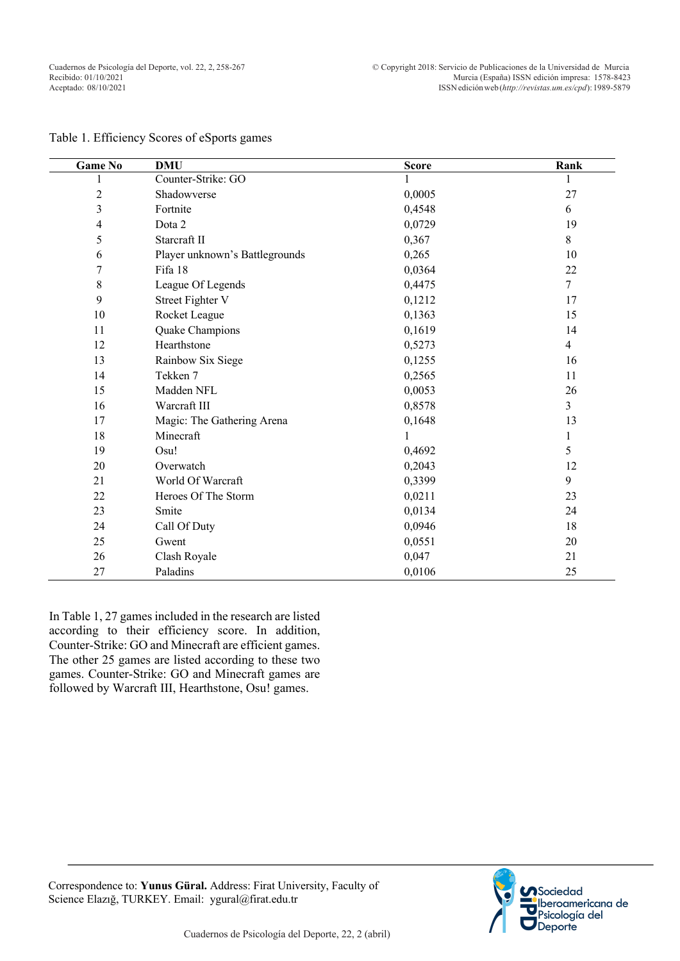| <b>Game No</b> | <b>DMU</b>                     | <b>Score</b> | Rank           |
|----------------|--------------------------------|--------------|----------------|
|                | Counter-Strike: GO             |              |                |
| $\overline{c}$ | Shadowverse                    | 0,0005       | 27             |
| 3              | Fortnite                       | 0,4548       | 6              |
| 4              | Dota 2                         | 0,0729       | 19             |
| 5              | Starcraft II                   | 0,367        | $8\,$          |
| 6              | Player unknown's Battlegrounds | 0,265        | 10             |
| 7              | Fifa 18                        | 0,0364       | 22             |
| 8              | League Of Legends              | 0,4475       | $\overline{7}$ |
| 9              | <b>Street Fighter V</b>        | 0,1212       | 17             |
| 10             | Rocket League                  | 0,1363       | 15             |
| 11             | Quake Champions                | 0,1619       | 14             |
| 12             | Hearthstone                    | 0,5273       | $\overline{4}$ |
| 13             | Rainbow Six Siege              | 0,1255       | 16             |
| 14             | Tekken 7                       | 0,2565       | 11             |
| 15             | Madden NFL                     | 0,0053       | 26             |
| 16             | Warcraft III                   | 0,8578       | $\overline{3}$ |
| 17             | Magic: The Gathering Arena     | 0,1648       | 13             |
| 18             | Minecraft                      |              | 1              |
| 19             | Osu!                           | 0,4692       | 5              |
| 20             | Overwatch                      | 0,2043       | 12             |
| 21             | World Of Warcraft              | 0,3399       | 9              |
| 22             | Heroes Of The Storm            | 0,0211       | 23             |
| 23             | Smite                          | 0,0134       | 24             |
| 24             | Call Of Duty                   | 0,0946       | 18             |
| 25             | Gwent                          | 0,0551       | 20             |
| 26             | Clash Royale                   | 0,047        | 21             |
| 27             | Paladins                       | 0,0106       | 25             |

#### Table 1. Efficiency Scores of eSports games

In Table 1, 27 games included in the research are listed according to their efficiency score. In addition, Counter-Strike: GO and Minecraft are efficient games. The other 25 games are listed according to these two games. Counter-Strike: GO and Minecraft games are followed by Warcraft III, Hearthstone, Osu! games.

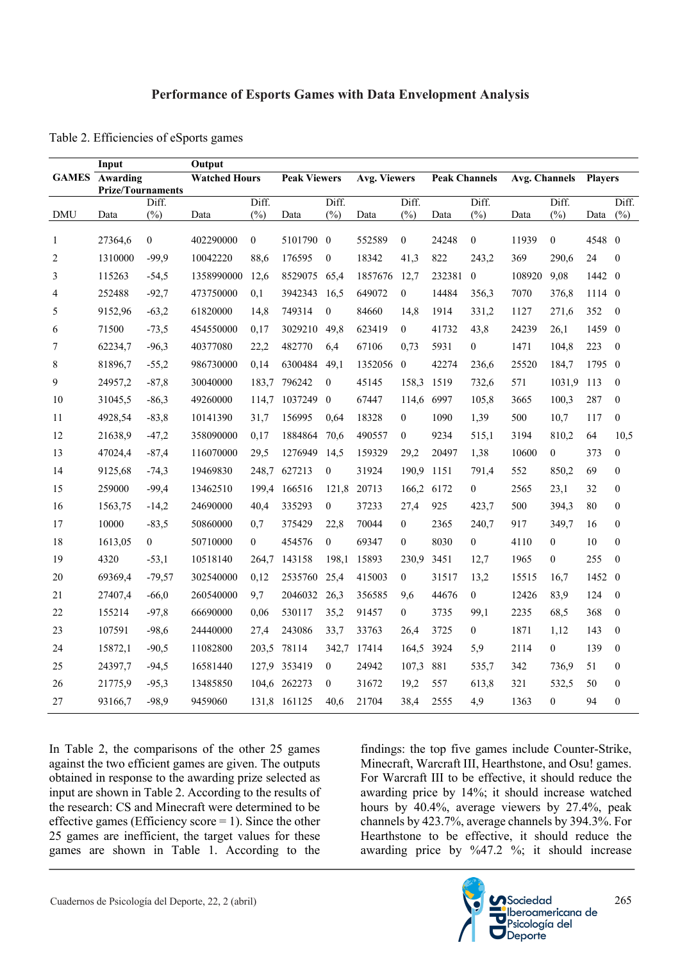|                | Input                             |                  | Output               |                |         |                                     |         |                      |        |                      |        |                  |        |                  |
|----------------|-----------------------------------|------------------|----------------------|----------------|---------|-------------------------------------|---------|----------------------|--------|----------------------|--------|------------------|--------|------------------|
|                | <b>GAMES</b> Awarding             |                  | <b>Watched Hours</b> |                |         | <b>Peak Viewers</b><br>Avg. Viewers |         | <b>Peak Channels</b> |        | <b>Avg. Channels</b> |        | Players          |        |                  |
|                | <b>Prize/Tournaments</b><br>Diff. |                  | Diff.                |                | Diff.   |                                     | Diff.   |                      | Diff.  |                      | Diff.  |                  | Diff.  |                  |
| <b>DMU</b>     | Data                              | (%)              | Data                 | (%)            | Data    | (%)                                 | Data    | (%)                  | Data   | (%)                  | Data   | (%)              | Data   | (%)              |
| 1              | 27364,6                           | $\boldsymbol{0}$ | 402290000            | $\overline{0}$ | 5101790 | $\theta$                            | 552589  | $\mathbf{0}$         | 24248  | $\mathbf{0}$         | 11939  | $\mathbf{0}$     | 4548 0 |                  |
| $\overline{2}$ | 1310000                           | $-99,9$          | 10042220             | 88,6           | 176595  | $\boldsymbol{0}$                    | 18342   | 41,3                 | 822    | 243,2                | 369    | 290,6            | 24     | $\theta$         |
| 3              | 115263                            | $-54,5$          | 1358990000           | 12,6           | 8529075 | 65,4                                | 1857676 | 12,7                 | 232381 | $\mathbf{0}$         | 108920 | 9,08             | 1442 0 |                  |
| 4              | 252488                            | $-92,7$          | 473750000            | 0,1            | 3942343 | 16,5                                | 649072  | $\boldsymbol{0}$     | 14484  | 356,3                | 7070   | 376,8            | 1114 0 |                  |
| 5              | 9152,96                           | $-63,2$          | 61820000             | 14,8           | 749314  | $\mathbf{0}$                        | 84660   | 14,8                 | 1914   | 331,2                | 1127   | 271,6            | 352    | $\boldsymbol{0}$ |
| 6              | 71500                             | $-73,5$          | 454550000            | 0,17           | 3029210 | 49,8                                | 623419  | $\overline{0}$       | 41732  | 43,8                 | 24239  | 26,1             | 1459 0 |                  |
| 7              | 62234,7                           | $-96,3$          | 40377080             | 22,2           | 482770  | 6,4                                 | 67106   | 0,73                 | 5931   | $\boldsymbol{0}$     | 1471   | 104,8            | 223    | $\boldsymbol{0}$ |
| 8              | 81896,7                           | $-55,2$          | 986730000            | 0,14           | 6300484 | 49,1                                | 1352056 | $\boldsymbol{0}$     | 42274  | 236,6                | 25520  | 184,7            | 1795 0 |                  |
| 9              | 24957,2                           | $-87,8$          | 30040000             | 183,7          | 796242  | $\boldsymbol{0}$                    | 45145   | 158,3                | 1519   | 732,6                | 571    | 1031,9           | 113    | $\boldsymbol{0}$ |
| 10             | 31045,5                           | $-86,3$          | 49260000             | 114,7          | 1037249 | $\mathbf{0}$                        | 67447   | 114,6                | 6997   | 105,8                | 3665   | 100,3            | 287    | $\boldsymbol{0}$ |
| 11             | 4928,54                           | $-83,8$          | 10141390             | 31,7           | 156995  | 0,64                                | 18328   | $\mathbf{0}$         | 1090   | 1,39                 | 500    | 10,7             | 117    | $\theta$         |
| 12             | 21638,9                           | $-47,2$          | 358090000            | 0,17           | 1884864 | 70,6                                | 490557  | $\mathbf{0}$         | 9234   | 515,1                | 3194   | 810,2            | 64     | 10,5             |
| 13             | 47024,4                           | $-87,4$          | 116070000            | 29,5           | 1276949 | 14,5                                | 159329  | 29,2                 | 20497  | 1,38                 | 10600  | $\boldsymbol{0}$ | 373    | $\boldsymbol{0}$ |
| 14             | 9125,68                           | $-74,3$          | 19469830             | 248,7          | 627213  | $\boldsymbol{0}$                    | 31924   | 190,9                | 1151   | 791,4                | 552    | 850,2            | 69     | $\boldsymbol{0}$ |
| 15             | 259000                            | $-99,4$          | 13462510             | 199,4          | 166516  | 121,8                               | 20713   | 166,2                | 6172   | $\boldsymbol{0}$     | 2565   | 23,1             | 32     | $\boldsymbol{0}$ |
| 16             | 1563,75                           | $-14,2$          | 24690000             | 40,4           | 335293  | $\boldsymbol{0}$                    | 37233   | 27,4                 | 925    | 423,7                | 500    | 394,3            | 80     | $\boldsymbol{0}$ |
| 17             | 10000                             | $-83,5$          | 50860000             | 0,7            | 375429  | 22,8                                | 70044   | $\mathbf{0}$         | 2365   | 240,7                | 917    | 349,7            | 16     | $\boldsymbol{0}$ |
| 18             | 1613,05                           | $\mathbf{0}$     | 50710000             | 0              | 454576  | $\boldsymbol{0}$                    | 69347   | $\mathbf{0}$         | 8030   | $\boldsymbol{0}$     | 4110   | $\boldsymbol{0}$ | 10     | $\boldsymbol{0}$ |
| 19             | 4320                              | $-53,1$          | 10518140             | 264,7          | 143158  | 198,1                               | 15893   | 230.9                | 3451   | 12,7                 | 1965   | $\boldsymbol{0}$ | 255    | $\boldsymbol{0}$ |
| 20             | 69369,4                           | $-79,57$         | 302540000            | 0,12           | 2535760 | 25,4                                | 415003  | $\boldsymbol{0}$     | 31517  | 13,2                 | 15515  | 16,7             | 1452 0 |                  |
| 21             | 27407,4                           | $-66,0$          | 260540000            | 9,7            | 2046032 | 26,3                                | 356585  | 9,6                  | 44676  | $\boldsymbol{0}$     | 12426  | 83,9             | 124    | $\boldsymbol{0}$ |
| 22             | 155214                            | $-97,8$          | 66690000             | 0,06           | 530117  | 35,2                                | 91457   | $\boldsymbol{0}$     | 3735   | 99,1                 | 2235   | 68,5             | 368    | $\boldsymbol{0}$ |
| 23             | 107591                            | $-98,6$          | 24440000             | 27,4           | 243086  | 33,7                                | 33763   | 26,4                 | 3725   | $\boldsymbol{0}$     | 1871   | 1,12             | 143    | $\boldsymbol{0}$ |
| 24             | 15872,1                           | $-90,5$          | 11082800             | 203,5          | 78114   | 342,7                               | 17414   | 164,5                | 3924   | 5,9                  | 2114   | $\boldsymbol{0}$ | 139    | $\boldsymbol{0}$ |
| 25             | 24397,7                           | $-94,5$          | 16581440             | 127,9          | 353419  | $\boldsymbol{0}$                    | 24942   | 107,3                | 881    | 535,7                | 342    | 736,9            | 51     | $\boldsymbol{0}$ |
| 26             | 21775,9                           | $-95,3$          | 13485850             | 104,6          | 262273  | $\theta$                            | 31672   | 19,2                 | 557    | 613,8                | 321    | 532,5            | 50     | $\boldsymbol{0}$ |
| 27             | 93166,7                           | $-98,9$          | 9459060              | 131,8          | 161125  | 40,6                                | 21704   | 38,4                 | 2555   | 4,9                  | 1363   | $\mathbf{0}$     | 94     | $\boldsymbol{0}$ |

Table 2. Efficiencies of eSports games

In Table 2, the comparisons of the other 25 games against the two efficient games are given. The outputs obtained in response to the awarding prize selected as input are shown in Table 2. According to the results of the research: CS and Minecraft were determined to be effective games (Efficiency score  $= 1$ ). Since the other 25 games are inefficient, the target values for these games are shown in Table 1. According to the

findings: the top five games include Counter-Strike, Minecraft, Warcraft III, Hearthstone, and Osu! games. For Warcraft III to be effective, it should reduce the awarding price by 14%; it should increase watched hours by 40.4%, average viewers by 27.4%, peak channels by 423.7%, average channels by 394.3%. For Hearthstone to be effective, it should reduce the awarding price by %47.2 %; it should increase

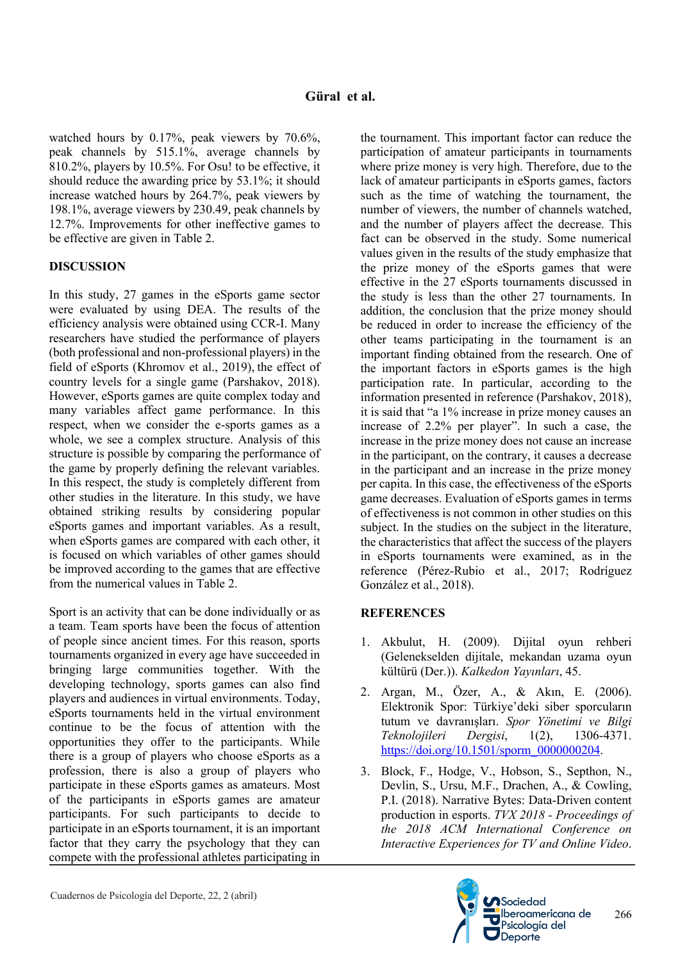watched hours by 0.17%, peak viewers by 70.6%, peak channels by 515.1%, average channels by 810.2%, players by 10.5%. For Osu! to be effective, it should reduce the awarding price by 53.1%; it should increase watched hours by 264.7%, peak viewers by 198.1%, average viewers by 230.49, peak channels by 12.7%. Improvements for other ineffective games to be effective are given in Table 2.

# **DISCUSSION**

In this study, 27 games in the eSports game sector were evaluated by using DEA. The results of the efficiency analysis were obtained using CCR-I. Many researchers have studied the performance of players (both professional and non-professional players) in the field of eSports (Khromov et al., 2019), the effect of country levels for a single game (Parshakov, 2018). However, eSports games are quite complex today and many variables affect game performance. In this respect, when we consider the e-sports games as a whole, we see a complex structure. Analysis of this structure is possible by comparing the performance of the game by properly defining the relevant variables. In this respect, the study is completely different from other studies in the literature. In this study, we have obtained striking results by considering popular eSports games and important variables. As a result, when eSports games are compared with each other, it is focused on which variables of other games should be improved according to the games that are effective from the numerical values in Table 2.

Sport is an activity that can be done individually or as a team. Team sports have been the focus of attention of people since ancient times. For this reason, sports tournaments organized in every age have succeeded in bringing large communities together. With the developing technology, sports games can also find players and audiences in virtual environments. Today, eSports tournaments held in the virtual environment continue to be the focus of attention with the opportunities they offer to the participants. While there is a group of players who choose eSports as a profession, there is also a group of players who participate in these eSports games as amateurs. Most of the participants in eSports games are amateur participants. For such participants to decide to participate in an eSports tournament, it is an important factor that they carry the psychology that they can compete with the professional athletes participating in the tournament. This important factor can reduce the participation of amateur participants in tournaments where prize money is very high. Therefore, due to the lack of amateur participants in eSports games, factors such as the time of watching the tournament, the number of viewers, the number of channels watched, and the number of players affect the decrease. This fact can be observed in the study. Some numerical values given in the results of the study emphasize that the prize money of the eSports games that were effective in the 27 eSports tournaments discussed in the study is less than the other 27 tournaments. In addition, the conclusion that the prize money should be reduced in order to increase the efficiency of the other teams participating in the tournament is an important finding obtained from the research. One of the important factors in eSports games is the high participation rate. In particular, according to the information presented in reference (Parshakov, 2018), it is said that "a 1% increase in prize money causes an increase of 2.2% per player". In such a case, the increase in the prize money does not cause an increase in the participant, on the contrary, it causes a decrease in the participant and an increase in the prize money per capita. In this case, the effectiveness of the eSports game decreases. Evaluation of eSports games in terms of effectiveness is not common in other studies on this subject. In the studies on the subject in the literature, the characteristics that affect the success of the players in eSports tournaments were examined, as in the reference (Pérez-Rubio et al., 2017; Rodríguez González et al., 2018).

# **REFERENCES**

- 1. Akbulut, H. (2009). Dijital oyun rehberi (Gelenekselden dijitale, mekandan uzama oyun kültürü (Der.)). *Kalkedon Yayınları*, 45.
- 2. Argan, M., Özer, A., & Akın, E. (2006). Elektronik Spor: Türkiye'deki siber sporcuların tutum ve davranışları. *Spor Yönetimi ve Bilgi Teknolojileri Dergisi*, 1(2), 1306-4371. https://doi.org/10.1501/sporm\_0000000204.
- 3. Block, F., Hodge, V., Hobson, S., Septhon, N., Devlin, S., Ursu, M.F., Drachen, A., & Cowling, P.I. (2018). Narrative Bytes: Data-Driven content production in esports. *TVX 2018 - Proceedings of the 2018 ACM International Conference on Interactive Experiences for TV and Online Video*.